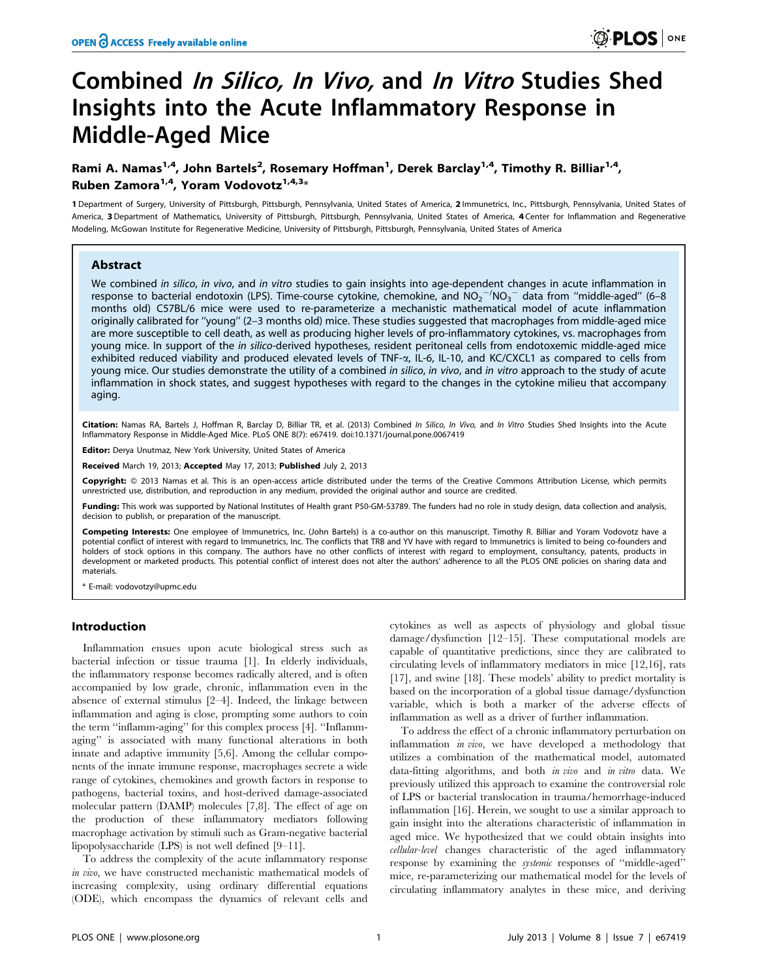# Combined In Silico, In Vivo, and In Vitro Studies Shed Insights into the Acute Inflammatory Response in Middle-Aged Mice

# Rami A. Namas<sup>1,4</sup>, John Bartels<sup>2</sup>, Rosemary Hoffman<sup>1</sup>, Derek Barclay<sup>1,4</sup>, Timothy R. Billiar<sup>1,4</sup>, Ruben Zamora<sup>1,4</sup>, Yoram Vodovotz<sup>1,4,3</sup>\*

1 Department of Surgery, University of Pittsburgh, Pittsburgh, Pennsylvania, United States of America, 2 Immunetrics, Inc., Pittsburgh, Pennsylvania, United States of America, 3 Department of Mathematics, University of Pittsburgh, Pittsburgh, Pennsylvania, United States of America, 4 Center for Inflammation and Regenerative Modeling, McGowan Institute for Regenerative Medicine, University of Pittsburgh, Pittsburgh, Pennsylvania, United States of America

#### Abstract

We combined in silico, in vivo, and in vitro studies to gain insights into age-dependent changes in acute inflammation in response to bacterial endotoxin (LPS). Time-course cytokine, chemokine, and  $NO_2^{-7}NO_3^-$  data from "middle-aged" (6–8 months old) C57BL/6 mice were used to re-parameterize a mechanistic mathematical model of acute inflammation originally calibrated for ''young'' (2–3 months old) mice. These studies suggested that macrophages from middle-aged mice are more susceptible to cell death, as well as producing higher levels of pro-inflammatory cytokines, vs. macrophages from young mice. In support of the in silico-derived hypotheses, resident peritoneal cells from endotoxemic middle-aged mice exhibited reduced viability and produced elevated levels of TNF- $\alpha$ , IL-6, IL-10, and KC/CXCL1 as compared to cells from young mice. Our studies demonstrate the utility of a combined in silico, in vivo, and in vitro approach to the study of acute inflammation in shock states, and suggest hypotheses with regard to the changes in the cytokine milieu that accompany aging.

Citation: Namas RA, Bartels J, Hoffman R, Barclay D, Billiar TR, et al. (2013) Combined In Silico, In Vivo, and In Vitro Studies Shed Insights into the Acute Inflammatory Response in Middle-Aged Mice. PLoS ONE 8(7): e67419. doi:10.1371/journal.pone.0067419

**Editor:** Derya Unutmaz, New York University, United States of America

Received March 19, 2013; Accepted May 17, 2013; Published July 2, 2013

Copyright: © 2013 Namas et al. This is an open-access article distributed under the terms of the Creative Commons Attribution License, which permits unrestricted use, distribution, and reproduction in any medium, provided the original author and source are credited.

Funding: This work was supported by National Institutes of Health grant P50-GM-53789. The funders had no role in study design, data collection and analysis, decision to publish, or preparation of the manuscript.

Competing Interests: One employee of Immunetrics, Inc. (John Bartels) is a co-author on this manuscript. Timothy R. Billiar and Yoram Vodovotz have a potential conflict of interest with regard to Immunetrics, Inc. The conflicts that TRB and YV have with regard to Immunetrics is limited to being co-founders and holders of stock options in this company. The authors have no other conflicts of interest with regard to employment, consultancy, patents, products in development or marketed products. This potential conflict of interest does not alter the authors' adherence to all the PLOS ONE policies on sharing data and materials.

E-mail: vodovotzy@upmc.edu

#### Introduction

Inflammation ensues upon acute biological stress such as bacterial infection or tissue trauma [1]. In elderly individuals, the inflammatory response becomes radically altered, and is often accompanied by low grade, chronic, inflammation even in the absence of external stimulus [2–4]. Indeed, the linkage between inflammation and aging is close, prompting some authors to coin the term ''inflamm-aging'' for this complex process [4]. ''Inflammaging'' is associated with many functional alterations in both innate and adaptive immunity [5,6]. Among the cellular components of the innate immune response, macrophages secrete a wide range of cytokines, chemokines and growth factors in response to pathogens, bacterial toxins, and host-derived damage-associated molecular pattern (DAMP) molecules [7,8]. The effect of age on the production of these inflammatory mediators following macrophage activation by stimuli such as Gram-negative bacterial lipopolysaccharide (LPS) is not well defined [9–11].

To address the complexity of the acute inflammatory response in vivo, we have constructed mechanistic mathematical models of increasing complexity, using ordinary differential equations (ODE), which encompass the dynamics of relevant cells and

cytokines as well as aspects of physiology and global tissue damage/dysfunction [12–15]. These computational models are capable of quantitative predictions, since they are calibrated to circulating levels of inflammatory mediators in mice [12,16], rats [17], and swine [18]. These models' ability to predict mortality is based on the incorporation of a global tissue damage/dysfunction variable, which is both a marker of the adverse effects of inflammation as well as a driver of further inflammation.

To address the effect of a chronic inflammatory perturbation on inflammation in vivo, we have developed a methodology that utilizes a combination of the mathematical model, automated data-fitting algorithms, and both in vivo and in vitro data. We previously utilized this approach to examine the controversial role of LPS or bacterial translocation in trauma/hemorrhage-induced inflammation [16]. Herein, we sought to use a similar approach to gain insight into the alterations characteristic of inflammation in aged mice. We hypothesized that we could obtain insights into cellular-level changes characteristic of the aged inflammatory response by examining the systemic responses of ''middle-aged'' mice, re-parameterizing our mathematical model for the levels of circulating inflammatory analytes in these mice, and deriving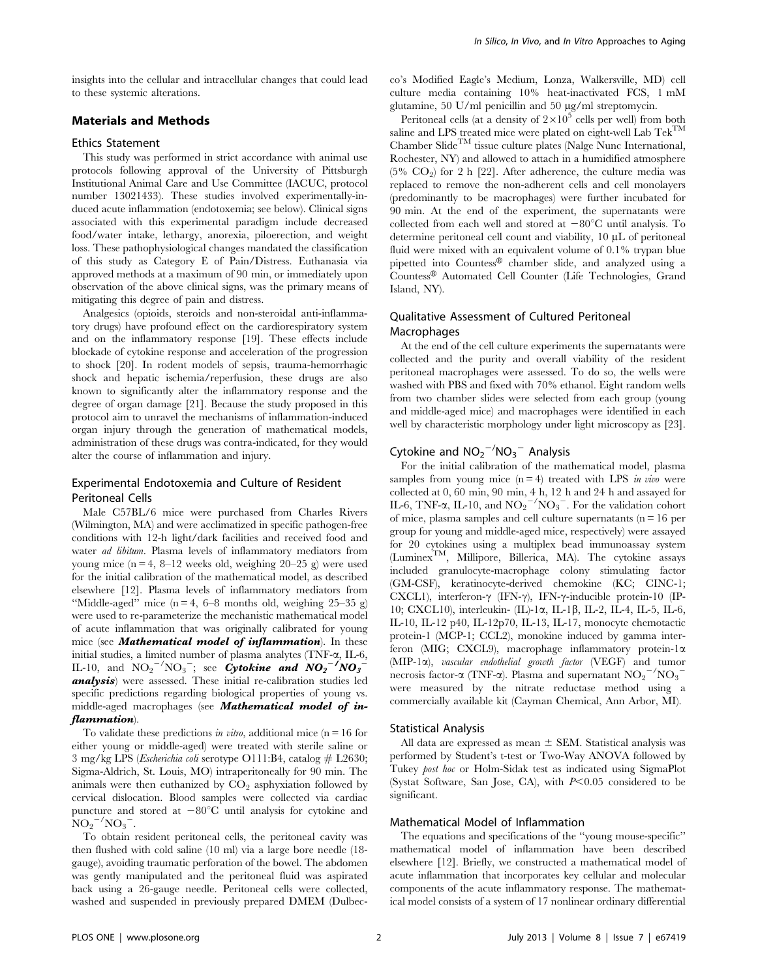insights into the cellular and intracellular changes that could lead to these systemic alterations.

#### Materials and Methods

#### Ethics Statement

This study was performed in strict accordance with animal use protocols following approval of the University of Pittsburgh Institutional Animal Care and Use Committee (IACUC, protocol number 13021433). These studies involved experimentally-induced acute inflammation (endotoxemia; see below). Clinical signs associated with this experimental paradigm include decreased food/water intake, lethargy, anorexia, piloerection, and weight loss. These pathophysiological changes mandated the classification of this study as Category E of Pain/Distress. Euthanasia via approved methods at a maximum of 90 min, or immediately upon observation of the above clinical signs, was the primary means of mitigating this degree of pain and distress.

Analgesics (opioids, steroids and non-steroidal anti-inflammatory drugs) have profound effect on the cardiorespiratory system and on the inflammatory response [19]. These effects include blockade of cytokine response and acceleration of the progression to shock [20]. In rodent models of sepsis, trauma-hemorrhagic shock and hepatic ischemia/reperfusion, these drugs are also known to significantly alter the inflammatory response and the degree of organ damage [21]. Because the study proposed in this protocol aim to unravel the mechanisms of inflammation-induced organ injury through the generation of mathematical models, administration of these drugs was contra-indicated, for they would alter the course of inflammation and injury.

#### Experimental Endotoxemia and Culture of Resident Peritoneal Cells

Male C57BL/6 mice were purchased from Charles Rivers (Wilmington, MA) and were acclimatized in specific pathogen-free conditions with 12-h light/dark facilities and received food and water *ad libitum*. Plasma levels of inflammatory mediators from young mice  $(n = 4, 8-12)$  weeks old, weighing  $20-25$  g) were used for the initial calibration of the mathematical model, as described elsewhere [12]. Plasma levels of inflammatory mediators from "Middle-aged" mice  $(n = 4, 6-8$  months old, weighing  $(25-35)$  g) were used to re-parameterize the mechanistic mathematical model of acute inflammation that was originally calibrated for young mice (see **Mathematical model of inflammation**). In these initial studies, a limited number of plasma analytes (TNF- $\alpha$ , IL-6, IL-10, and  $NO_2^{-1}NO_3^{-}$ ; see **Cytokine and**  $NO_2^{-1}NO_3^{-}$ analysis) were assessed. These initial re-calibration studies led specific predictions regarding biological properties of young vs. middle-aged macrophages (see **Mathematical model of in**flammation).

To validate these predictions in vitro, additional mice  $(n = 16$  for either young or middle-aged) were treated with sterile saline or 3 mg/kg LPS (*Escherichia coli* serotype O111:B4, catalog  $#$  L2630; Sigma-Aldrich, St. Louis, MO) intraperitoneally for 90 min. The animals were then euthanized by  $CO<sub>2</sub>$  asphyxiation followed by cervical dislocation. Blood samples were collected via cardiac puncture and stored at  $-80^{\circ}$ C until analysis for cytokine and  $\rm{NO_2}^{-/} \rm{NO_3}^{-}.$ 

To obtain resident peritoneal cells, the peritoneal cavity was then flushed with cold saline (10 ml) via a large bore needle (18 gauge), avoiding traumatic perforation of the bowel. The abdomen was gently manipulated and the peritoneal fluid was aspirated back using a 26-gauge needle. Peritoneal cells were collected, washed and suspended in previously prepared DMEM (Dulbecco's Modified Eagle's Medium, Lonza, Walkersville, MD) cell culture media containing 10% heat-inactivated FCS, 1 mM glutamine, 50 U/ml penicillin and 50  $\mu$ g/ml streptomycin.

Peritoneal cells (at a density of  $2\times10^5$  cells per well) from both saline and LPS treated mice were plated on eight-well Lab  $\text{TeV}^{\text{TM}}$ Chamber Slide<sup>TM</sup> tissue culture plates (Nalge Nunc International, Rochester, NY) and allowed to attach in a humidified atmosphere  $(5\% \text{ CO}_2)$  for 2 h [22]. After adherence, the culture media was replaced to remove the non-adherent cells and cell monolayers (predominantly to be macrophages) were further incubated for 90 min. At the end of the experiment, the supernatants were collected from each well and stored at  $-80^{\circ}$ C until analysis. To determine peritoneal cell count and viability, 10  $\mu$ L of peritoneal fluid were mixed with an equivalent volume of 0.1% trypan blue pipetted into Countess® chamber slide, and analyzed using a Countess<sup>®</sup> Automated Cell Counter (Life Technologies, Grand Island, NY).

## Qualitative Assessment of Cultured Peritoneal Macrophages

At the end of the cell culture experiments the supernatants were collected and the purity and overall viability of the resident peritoneal macrophages were assessed. To do so, the wells were washed with PBS and fixed with 70% ethanol. Eight random wells from two chamber slides were selected from each group (young and middle-aged mice) and macrophages were identified in each well by characteristic morphology under light microscopy as [23].

# Cytokine and  $NO_2$ <sup>-/</sup> $NO_3$ <sup>-</sup> Analysis

For the initial calibration of the mathematical model, plasma samples from young mice  $(n = 4)$  treated with LPS in vivo were collected at 0, 60 min, 90 min, 4 h, 12 h and 24 h and assayed for IL-6, TNF- $\alpha$ , IL-10, and  $NO_2^{\text{--}}/NO_3^{\text{--}}$ . For the validation cohort of mice, plasma samples and cell culture supernatants ( $n = 16$  per group for young and middle-aged mice, respectively) were assayed for 20 cytokines using a multiplex bead immunoassay system (LuminexTM, Millipore, Billerica, MA). The cytokine assays included granulocyte-macrophage colony stimulating factor (GM-CSF), keratinocyte-derived chemokine (KC; CINC-1; CXCL1), interferon- $\gamma$  (IFN- $\gamma$ ), IFN- $\gamma$ -inducible protein-10 (IP-10; CXCL10), interleukin- (IL)-1α, IL-1β, IL-2, IL-4, IL-5, IL-6, IL-10, IL-12 p40, IL-12p70, IL-13, IL-17, monocyte chemotactic protein-1 (MCP-1; CCL2), monokine induced by gamma interferon (MIG; CXCL9), macrophage inflammatory protein-1a (MIP-1a), vascular endothelial growth factor (VEGF) and tumor necrosis factor- $\alpha$  (TNF- $\alpha$ ). Plasma and supernatant  $\mathrm{NO_2}^{-1}\mathrm{NO_3}^{-1}$ were measured by the nitrate reductase method using a commercially available kit (Cayman Chemical, Ann Arbor, MI).

#### Statistical Analysis

All data are expressed as mean  $\pm$  SEM. Statistical analysis was performed by Student's t-test or Two-Way ANOVA followed by Tukey post hoc or Holm-Sidak test as indicated using SigmaPlot (Systat Software, San Jose, CA), with  $P<0.05$  considered to be significant.

#### Mathematical Model of Inflammation

The equations and specifications of the ''young mouse-specific'' mathematical model of inflammation have been described elsewhere [12]. Briefly, we constructed a mathematical model of acute inflammation that incorporates key cellular and molecular components of the acute inflammatory response. The mathematical model consists of a system of 17 nonlinear ordinary differential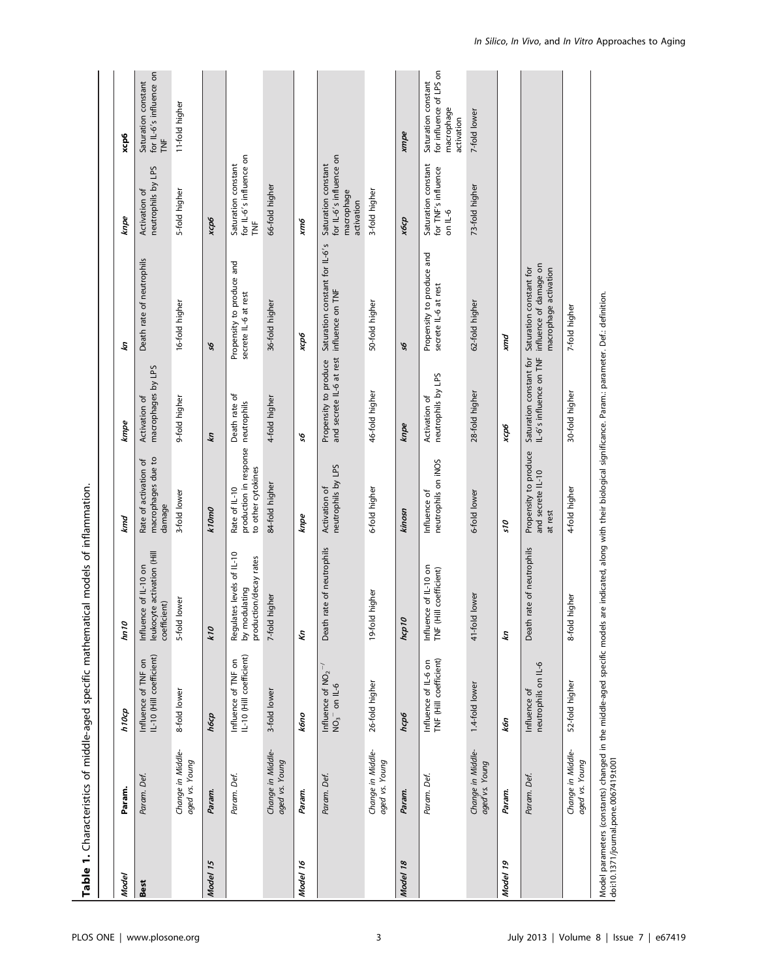| Propensity to produce and<br>Death rate of neutrophils<br>Propensity to produce and<br>influence of damage on<br>Saturation constant for<br>macrophage activation<br>secrete IL-6 at rest<br>and secrete IL-6 at rest influence on TNF<br>secrete IL-6 at rest<br>16-fold higher<br>50-fold higher<br>62-fold higher<br>36-fold higher<br>хсрб<br>yunx<br>9S<br>9S<br>Saturation constant for<br>IL-6's influence on TNF<br>Propensity to produce<br>macrophages by LPS<br>neutrophils by LPS<br>46-fold higher<br>28-fold higher<br>Death rate of<br>9-fold higher<br>4-fold higher<br>Activation of<br>Activation of<br>production in response neutrophils<br>knpe<br>хсрб<br>kn<br>95<br>Propensity to produce<br>macrophages due to<br>Rate of activation of<br>neutrophils on iNOS<br>neutrophils by LPS<br>to other cytokines<br>and secrete IL-10<br>84-fold higher<br>Activation of<br>6-fold higher<br>Rate of IL-10<br>3-fold lower<br>Influence of<br>6-fold lower<br>damage<br>k10m0<br>kinosn<br>at rest<br>knpe<br>510<br>n rate of neutrophils<br>Death rate of neutrophils<br>leukocyte activation (Hill<br>Regulates levels of IL-10<br>by modulating<br>production/decay rates<br>Influence of IL-10 on<br>Influence of IL-10 on<br>TNF (Hill coefficient)<br>19-fold higher<br>41-fold lower<br>7-fold higher<br>5-fold lower<br>coefficient)<br>hcp10<br>Deat<br>k10<br>Ś,<br>ξ,<br>IL-10 (Hill coefficient)<br>IL-10 (Hill coefficient)<br>Influence of TNF on<br>Influence of TNF on<br>TNF (Hill coefficient)<br>Influence of IL-6 on<br>neutrophils on IL-6<br>Influence of $NO_2$ <sup>-/</sup><br>26-fold higher<br>$NO3$ on IL-6<br>1.4-fold lower<br>8-fold lower<br>Influence of<br>3-fold lower<br>hcp6<br>kóno<br>hócp<br>kón<br>Change in Middle-<br>Change in Middle-<br>Change in Middle-<br>Change in Middle-<br>aged vs. Young<br>aged vs. Young<br>aged vs. Young<br>aged'vs. Young<br>Param. Def.<br>Param. Def.<br>Param. Def.<br>Param. Def.<br>Param. Def.<br>Param.<br>Param.<br>Param.<br>Param.<br>Model 16<br>Model 18<br>Model 15<br>Model 19<br>Best | Model | Param. | h10cp | Oluy | kmd | kmpe | ξ                              | knpe                                                                       | xcp6                                                                       |
|-----------------------------------------------------------------------------------------------------------------------------------------------------------------------------------------------------------------------------------------------------------------------------------------------------------------------------------------------------------------------------------------------------------------------------------------------------------------------------------------------------------------------------------------------------------------------------------------------------------------------------------------------------------------------------------------------------------------------------------------------------------------------------------------------------------------------------------------------------------------------------------------------------------------------------------------------------------------------------------------------------------------------------------------------------------------------------------------------------------------------------------------------------------------------------------------------------------------------------------------------------------------------------------------------------------------------------------------------------------------------------------------------------------------------------------------------------------------------------------------------------------------------------------------------------------------------------------------------------------------------------------------------------------------------------------------------------------------------------------------------------------------------------------------------------------------------------------------------------------------------------------------------------------------------------------------------------------------------------------------------------------------------------------------------------------------------------------------------------|-------|--------|-------|------|-----|------|--------------------------------|----------------------------------------------------------------------------|----------------------------------------------------------------------------|
|                                                                                                                                                                                                                                                                                                                                                                                                                                                                                                                                                                                                                                                                                                                                                                                                                                                                                                                                                                                                                                                                                                                                                                                                                                                                                                                                                                                                                                                                                                                                                                                                                                                                                                                                                                                                                                                                                                                                                                                                                                                                                                     |       |        |       |      |     |      |                                | neutrophils by LPS<br>Activation of                                        | for IL-6's influence on<br>Saturation constant<br>Ĕ                        |
|                                                                                                                                                                                                                                                                                                                                                                                                                                                                                                                                                                                                                                                                                                                                                                                                                                                                                                                                                                                                                                                                                                                                                                                                                                                                                                                                                                                                                                                                                                                                                                                                                                                                                                                                                                                                                                                                                                                                                                                                                                                                                                     |       |        |       |      |     |      |                                | 5-fold higher                                                              | 11-fold higher                                                             |
|                                                                                                                                                                                                                                                                                                                                                                                                                                                                                                                                                                                                                                                                                                                                                                                                                                                                                                                                                                                                                                                                                                                                                                                                                                                                                                                                                                                                                                                                                                                                                                                                                                                                                                                                                                                                                                                                                                                                                                                                                                                                                                     |       |        |       |      |     |      |                                | хсрб                                                                       |                                                                            |
|                                                                                                                                                                                                                                                                                                                                                                                                                                                                                                                                                                                                                                                                                                                                                                                                                                                                                                                                                                                                                                                                                                                                                                                                                                                                                                                                                                                                                                                                                                                                                                                                                                                                                                                                                                                                                                                                                                                                                                                                                                                                                                     |       |        |       |      |     |      |                                | for IL-6's influence on<br>Saturation constant<br>Ĕ                        |                                                                            |
|                                                                                                                                                                                                                                                                                                                                                                                                                                                                                                                                                                                                                                                                                                                                                                                                                                                                                                                                                                                                                                                                                                                                                                                                                                                                                                                                                                                                                                                                                                                                                                                                                                                                                                                                                                                                                                                                                                                                                                                                                                                                                                     |       |        |       |      |     |      |                                | 66-fold higher                                                             |                                                                            |
|                                                                                                                                                                                                                                                                                                                                                                                                                                                                                                                                                                                                                                                                                                                                                                                                                                                                                                                                                                                                                                                                                                                                                                                                                                                                                                                                                                                                                                                                                                                                                                                                                                                                                                                                                                                                                                                                                                                                                                                                                                                                                                     |       |        |       |      |     |      |                                | xm6                                                                        |                                                                            |
|                                                                                                                                                                                                                                                                                                                                                                                                                                                                                                                                                                                                                                                                                                                                                                                                                                                                                                                                                                                                                                                                                                                                                                                                                                                                                                                                                                                                                                                                                                                                                                                                                                                                                                                                                                                                                                                                                                                                                                                                                                                                                                     |       |        |       |      |     |      | Saturation constant for IL-6's | for IL-6's influence on<br>Saturation constant<br>macrophage<br>activation |                                                                            |
|                                                                                                                                                                                                                                                                                                                                                                                                                                                                                                                                                                                                                                                                                                                                                                                                                                                                                                                                                                                                                                                                                                                                                                                                                                                                                                                                                                                                                                                                                                                                                                                                                                                                                                                                                                                                                                                                                                                                                                                                                                                                                                     |       |        |       |      |     |      |                                | 3-fold higher                                                              |                                                                            |
|                                                                                                                                                                                                                                                                                                                                                                                                                                                                                                                                                                                                                                                                                                                                                                                                                                                                                                                                                                                                                                                                                                                                                                                                                                                                                                                                                                                                                                                                                                                                                                                                                                                                                                                                                                                                                                                                                                                                                                                                                                                                                                     |       |        |       |      |     |      |                                | хбср                                                                       | xmpe                                                                       |
|                                                                                                                                                                                                                                                                                                                                                                                                                                                                                                                                                                                                                                                                                                                                                                                                                                                                                                                                                                                                                                                                                                                                                                                                                                                                                                                                                                                                                                                                                                                                                                                                                                                                                                                                                                                                                                                                                                                                                                                                                                                                                                     |       |        |       |      |     |      |                                | Saturation constant<br>for TNF's influence<br>on $IL-6$                    | for influence of LPS on<br>Saturation constant<br>macrophage<br>activation |
|                                                                                                                                                                                                                                                                                                                                                                                                                                                                                                                                                                                                                                                                                                                                                                                                                                                                                                                                                                                                                                                                                                                                                                                                                                                                                                                                                                                                                                                                                                                                                                                                                                                                                                                                                                                                                                                                                                                                                                                                                                                                                                     |       |        |       |      |     |      |                                | 73-fold higher                                                             | 7-fold lower                                                               |
|                                                                                                                                                                                                                                                                                                                                                                                                                                                                                                                                                                                                                                                                                                                                                                                                                                                                                                                                                                                                                                                                                                                                                                                                                                                                                                                                                                                                                                                                                                                                                                                                                                                                                                                                                                                                                                                                                                                                                                                                                                                                                                     |       |        |       |      |     |      |                                |                                                                            |                                                                            |
|                                                                                                                                                                                                                                                                                                                                                                                                                                                                                                                                                                                                                                                                                                                                                                                                                                                                                                                                                                                                                                                                                                                                                                                                                                                                                                                                                                                                                                                                                                                                                                                                                                                                                                                                                                                                                                                                                                                                                                                                                                                                                                     |       |        |       |      |     |      |                                |                                                                            |                                                                            |
| 7-fold higher<br>30-fold higher<br>4-fold higher<br>8-fold higher<br>52-fold higher<br>Change in Middle-<br>aged vs. Young                                                                                                                                                                                                                                                                                                                                                                                                                                                                                                                                                                                                                                                                                                                                                                                                                                                                                                                                                                                                                                                                                                                                                                                                                                                                                                                                                                                                                                                                                                                                                                                                                                                                                                                                                                                                                                                                                                                                                                          |       |        |       |      |     |      |                                |                                                                            |                                                                            |

Table 1. Characteristics of middle-aged specific mathematical models of inflammation. Table 1. Characteristics of middle-aged specific mathematical models of inflammation.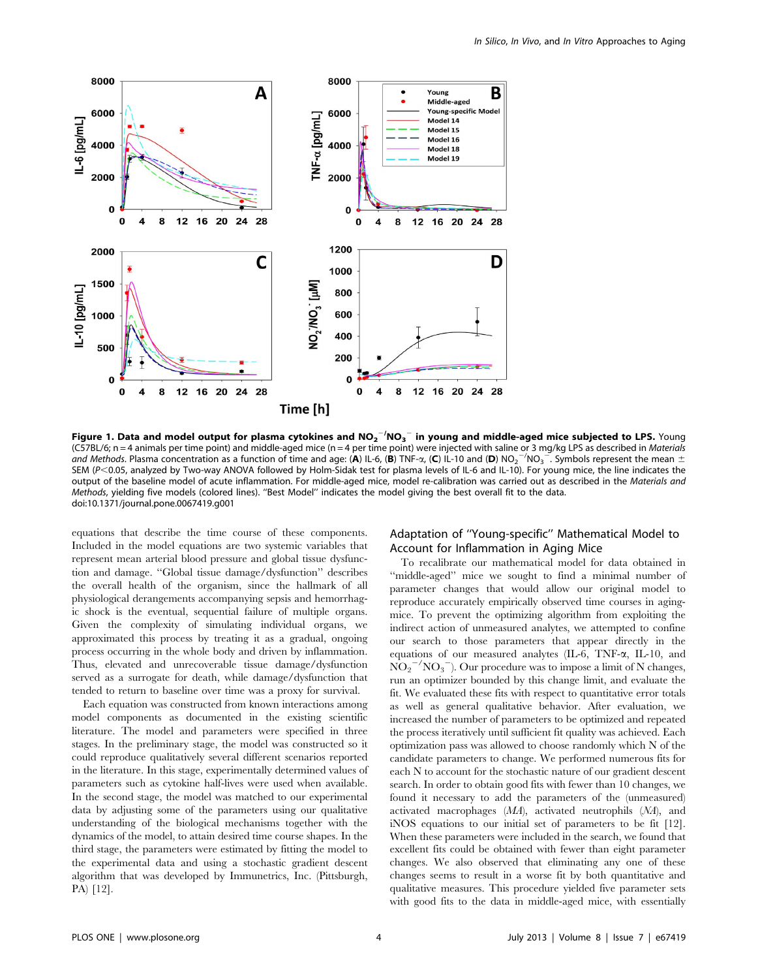

Figure 1. Data and model output for plasma cytokines and NO $_2^{-\prime}$ NO $_3^{-}$  in young and middle-aged mice subjected to LPS. <code>Young</code> (C57BL/6; n = 4 animals per time point) and middle-aged mice (n = 4 per time point) were injected with saline or 3 mg/kg LPS as described in Materials and Methods. Plasma concentration as a function of time and age: (A) IL-6, (B) TNF-a, (C) IL-10 and (D) NO<sub>2</sub><sup>-/</sup>NO<sub>3</sub><sup>-</sup>. Symbols represent the mean  $\pm$ SEM (P<0.05, analyzed by Two-way ANOVA followed by Holm-Sidak test for plasma levels of IL-6 and IL-10). For young mice, the line indicates the output of the baseline model of acute inflammation. For middle-aged mice, model re-calibration was carried out as described in the Materials and Methods, yielding five models (colored lines). ''Best Model'' indicates the model giving the best overall fit to the data. doi:10.1371/journal.pone.0067419.g001

equations that describe the time course of these components. Included in the model equations are two systemic variables that represent mean arterial blood pressure and global tissue dysfunction and damage. ''Global tissue damage/dysfunction'' describes the overall health of the organism, since the hallmark of all physiological derangements accompanying sepsis and hemorrhagic shock is the eventual, sequential failure of multiple organs. Given the complexity of simulating individual organs, we approximated this process by treating it as a gradual, ongoing process occurring in the whole body and driven by inflammation. Thus, elevated and unrecoverable tissue damage/dysfunction served as a surrogate for death, while damage/dysfunction that tended to return to baseline over time was a proxy for survival.

Each equation was constructed from known interactions among model components as documented in the existing scientific literature. The model and parameters were specified in three stages. In the preliminary stage, the model was constructed so it could reproduce qualitatively several different scenarios reported in the literature. In this stage, experimentally determined values of parameters such as cytokine half-lives were used when available. In the second stage, the model was matched to our experimental data by adjusting some of the parameters using our qualitative understanding of the biological mechanisms together with the dynamics of the model, to attain desired time course shapes. In the third stage, the parameters were estimated by fitting the model to the experimental data and using a stochastic gradient descent algorithm that was developed by Immunetrics, Inc. (Pittsburgh, PA) [12].

# Adaptation of ''Young-specific'' Mathematical Model to Account for Inflammation in Aging Mice

To recalibrate our mathematical model for data obtained in ''middle-aged'' mice we sought to find a minimal number of parameter changes that would allow our original model to reproduce accurately empirically observed time courses in agingmice. To prevent the optimizing algorithm from exploiting the indirect action of unmeasured analytes, we attempted to confine our search to those parameters that appear directly in the equations of our measured analytes (IL-6, TNF-a, IL-10, and  $\overline{{\rm NO}_2}^{-1}{\rm NO}_3$  ). Our procedure was to impose a limit of N changes, run an optimizer bounded by this change limit, and evaluate the fit. We evaluated these fits with respect to quantitative error totals as well as general qualitative behavior. After evaluation, we increased the number of parameters to be optimized and repeated the process iteratively until sufficient fit quality was achieved. Each optimization pass was allowed to choose randomly which N of the candidate parameters to change. We performed numerous fits for each N to account for the stochastic nature of our gradient descent search. In order to obtain good fits with fewer than 10 changes, we found it necessary to add the parameters of the (unmeasured) activated macrophages (MA), activated neutrophils (NA), and iNOS equations to our initial set of parameters to be fit [12]. When these parameters were included in the search, we found that excellent fits could be obtained with fewer than eight parameter changes. We also observed that eliminating any one of these changes seems to result in a worse fit by both quantitative and qualitative measures. This procedure yielded five parameter sets with good fits to the data in middle-aged mice, with essentially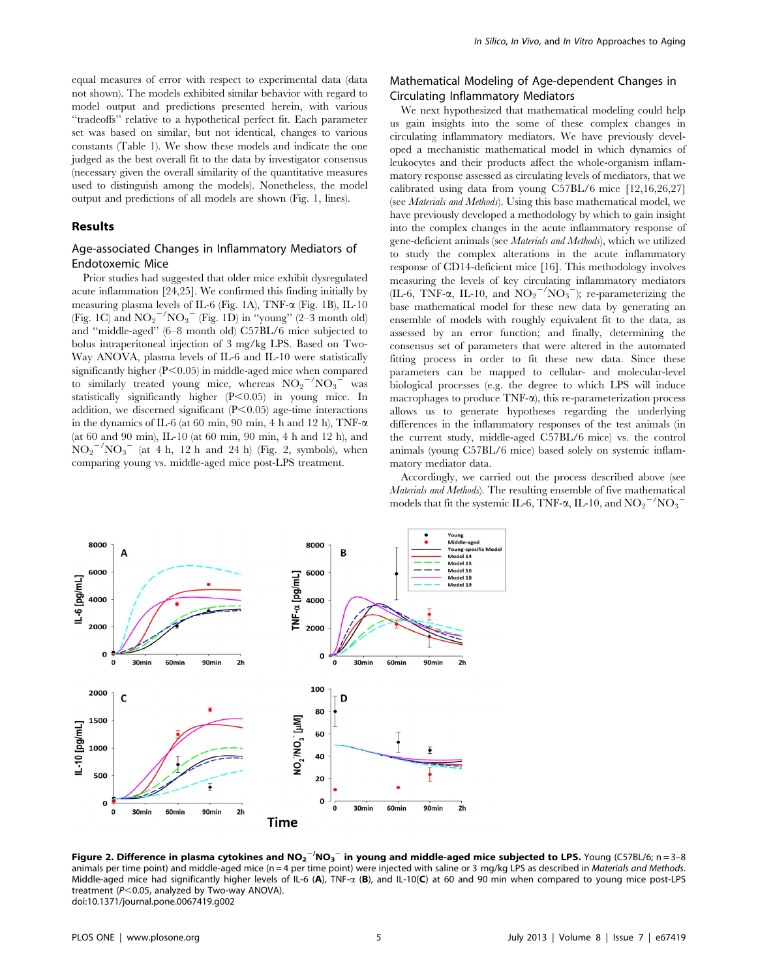equal measures of error with respect to experimental data (data not shown). The models exhibited similar behavior with regard to model output and predictions presented herein, with various ''tradeoffs'' relative to a hypothetical perfect fit. Each parameter set was based on similar, but not identical, changes to various constants (Table 1). We show these models and indicate the one judged as the best overall fit to the data by investigator consensus (necessary given the overall similarity of the quantitative measures used to distinguish among the models). Nonetheless, the model output and predictions of all models are shown (Fig. 1, lines).

#### Results

## Age-associated Changes in Inflammatory Mediators of Endotoxemic Mice

Prior studies had suggested that older mice exhibit dysregulated acute inflammation [24,25]. We confirmed this finding initially by measuring plasma levels of IL-6 (Fig. 1A), TNF- $\alpha$  (Fig. 1B), IL-10 (Fig. 1C) and  $NO_2^{\phantom{-}7}NO_3^{\phantom{-}7}$  (Fig. 1D) in "young" (2–3 month old) and ''middle-aged'' (6–8 month old) C57BL/6 mice subjected to bolus intraperitoneal injection of 3 mg/kg LPS. Based on Two-Way ANOVA, plasma levels of IL-6 and IL-10 were statistically significantly higher  $(P<0.05)$  in middle-aged mice when compared to similarly treated young mice, whereas  $NO_2^{\text{--/}}NO_3^{\text{--}}$  was statistically significantly higher  $(P<0.05)$  in young mice. In addition, we discerned significant  $(P<0.05)$  age-time interactions in the dynamics of IL-6 (at 60 min, 90 min, 4 h and 12 h), TNF- $\alpha$ (at 60 and 90 min), IL-10 (at 60 min, 90 min, 4 h and 12 h), and  $NO_2$ <sup>-</sup> $NO_3$ <sup>-</sup> (at 4 h, 12 h and 24 h) (Fig. 2, symbols), when comparing young vs. middle-aged mice post-LPS treatment.

## Mathematical Modeling of Age-dependent Changes in Circulating Inflammatory Mediators

We next hypothesized that mathematical modeling could help us gain insights into the some of these complex changes in circulating inflammatory mediators. We have previously developed a mechanistic mathematical model in which dynamics of leukocytes and their products affect the whole-organism inflammatory response assessed as circulating levels of mediators, that we calibrated using data from young C57BL/6 mice [12,16,26,27] (see Materials and Methods). Using this base mathematical model, we have previously developed a methodology by which to gain insight into the complex changes in the acute inflammatory response of gene-deficient animals (see Materials and Methods), which we utilized to study the complex alterations in the acute inflammatory response of CD14-deficient mice [16]. This methodology involves measuring the levels of key circulating inflammatory mediators (IL-6, TNF- $\alpha$ , IL-10, and  $\overline{NO_2}^{-1}NO_3^{-}$ ); re-parameterizing the base mathematical model for these new data by generating an ensemble of models with roughly equivalent fit to the data, as assessed by an error function; and finally, determining the consensus set of parameters that were altered in the automated fitting process in order to fit these new data. Since these parameters can be mapped to cellular- and molecular-level biological processes (e.g. the degree to which LPS will induce macrophages to produce TNF- $\alpha$ ), this re-parameterization process allows us to generate hypotheses regarding the underlying differences in the inflammatory responses of the test animals (in the current study, middle-aged C57BL/6 mice) vs. the control animals (young C57BL/6 mice) based solely on systemic inflammatory mediator data.

Accordingly, we carried out the process described above (see Materials and Methods). The resulting ensemble of five mathematical models that fit the systemic IL-6, TNF- $\alpha$ , IL-10, and  $\mathrm{NO_2}^{-1}\mathrm{NO_3}^{-1}$ 



Figure 2. Difference in plasma cytokines and NO2<sup>-/</sup>NO<sub>3</sub>  $^-$  in young and middle-aged mice subjected to LPS. Young (C57BL/6; n = 3–8 animals per time point) and middle-aged mice (n = 4 per time point) were injected with saline or 3 mg/kg LPS as described in Materials and Methods. Middle-aged mice had significantly higher levels of IL-6 (A), TNF- $\alpha$  (B), and IL-10(C) at 60 and 90 min when compared to young mice post-LPS treatment ( $P<0.05$ , analyzed by Two-way ANOVA). doi:10.1371/journal.pone.0067419.g002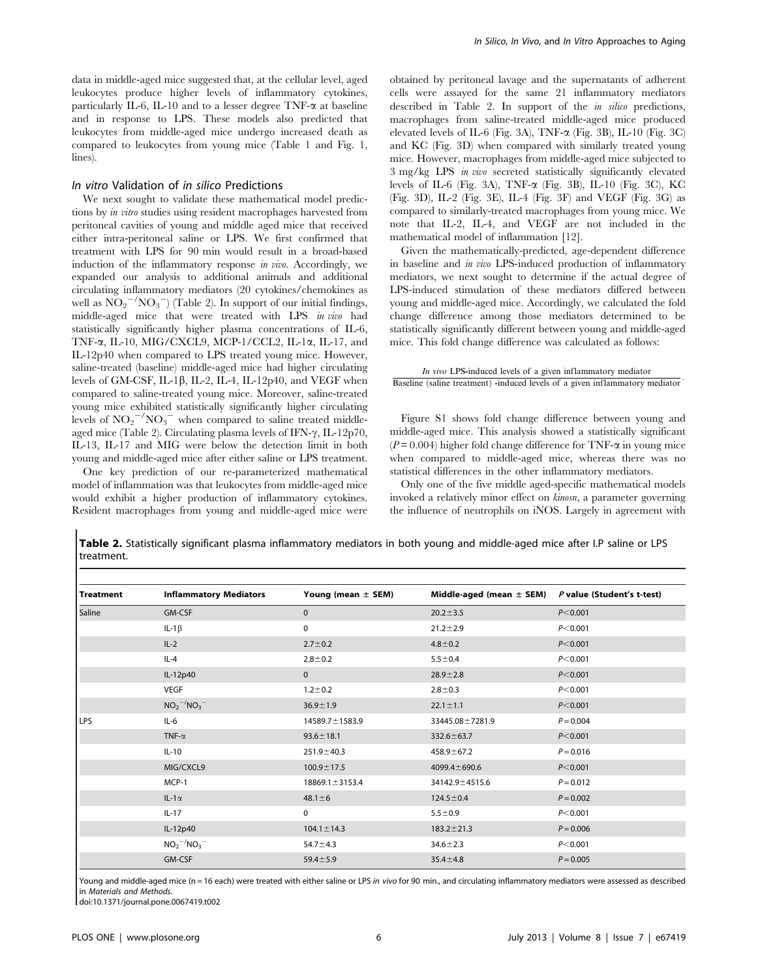data in middle-aged mice suggested that, at the cellular level, aged leukocytes produce higher levels of inflammatory cytokines, particularly IL-6, IL-10 and to a lesser degree TNF- $\alpha$  at baseline and in response to LPS. These models also predicted that leukocytes from middle-aged mice undergo increased death as compared to leukocytes from young mice (Table 1 and Fig. 1, lines).

#### In vitro Validation of in silico Predictions

We next sought to validate these mathematical model predictions by in vitro studies using resident macrophages harvested from peritoneal cavities of young and middle aged mice that received either intra-peritoneal saline or LPS. We first confirmed that treatment with LPS for 90 min would result in a broad-based induction of the inflammatory response in vivo. Accordingly, we expanded our analysis to additional animals and additional circulating inflammatory mediators (20 cytokines/chemokines as well as  $\overline{NO_2}^{-1} \overline{NO_3}^{-}$  (Table 2). In support of our initial findings, middle-aged mice that were treated with LPS in vivo had statistically significantly higher plasma concentrations of IL-6, TNF-a, IL-10, MIG/CXCL9, MCP-1/CCL2, IL-1a, IL-17, and IL-12p40 when compared to LPS treated young mice. However, saline-treated (baseline) middle-aged mice had higher circulating levels of GM-CSF, IL-1 $\beta$ , IL-2, IL-4, IL-12p40, and VEGF when compared to saline-treated young mice. Moreover, saline-treated young mice exhibited statistically significantly higher circulating levels of  $NO_2$ <sup>-/</sup> $NO_3$ <sup>-</sup> when compared to saline treated middleaged mice (Table 2). Circulating plasma levels of IFN- $\gamma$ , IL-12p70, IL-13, IL-17 and MIG were below the detection limit in both young and middle-aged mice after either saline or LPS treatment.

One key prediction of our re-parameterized mathematical model of inflammation was that leukocytes from middle-aged mice would exhibit a higher production of inflammatory cytokines. Resident macrophages from young and middle-aged mice were

obtained by peritoneal lavage and the supernatants of adherent cells were assayed for the same 21 inflammatory mediators described in Table 2. In support of the *in silico* predictions, macrophages from saline-treated middle-aged mice produced elevated levels of IL-6 (Fig. 3A), TNF- $\alpha$  (Fig. 3B), IL-10 (Fig. 3C) and KC (Fig. 3D) when compared with similarly treated young mice. However, macrophages from middle-aged mice subjected to 3 mg/kg LPS in vivo secreted statistically significantly elevated levels of IL-6 (Fig. 3A), TNF-a (Fig. 3B), IL-10 (Fig. 3C), KC (Fig. 3D), IL-2 (Fig. 3E), IL-4 (Fig. 3F) and VEGF (Fig. 3G) as compared to similarly-treated macrophages from young mice. We note that IL-2, IL-4, and VEGF are not included in the mathematical model of inflammation [12].

Given the mathematically-predicted, age-dependent difference in baseline and in vivo LPS-induced production of inflammatory mediators, we next sought to determine if the actual degree of LPS-induced stimulation of these mediators differed between young and middle-aged mice. Accordingly, we calculated the fold change difference among those mediators determined to be statistically significantly different between young and middle-aged mice. This fold change difference was calculated as follows:

In vivo LPS-induced levels of a given inflammatory mediator Baseline (saline treatment) -induced levels of a given inflammatory mediator

Figure S1 shows fold change difference between young and middle-aged mice. This analysis showed a statistically significant  $(P=0.004)$  higher fold change difference for TNF- $\alpha$  in young mice when compared to middle-aged mice, whereas there was no statistical differences in the other inflammatory mediators.

Only one of the five middle aged-specific mathematical models invoked a relatively minor effect on kinosn, a parameter governing the influence of neutrophils on iNOS. Largely in agreement with

Table 2. Statistically significant plasma inflammatory mediators in both young and middle-aged mice after I.P saline or LPS treatment.

| <b>Treatment</b> | <b>Inflammatory Mediators</b> | Young (mean $\pm$ SEM) | Middle-aged (mean $\pm$ SEM) P value (Student's t-test) |             |
|------------------|-------------------------------|------------------------|---------------------------------------------------------|-------------|
| Saline           | GM-CSF                        | $\mathbf 0$            | $20.2 \pm 3.5$                                          | P < 0.001   |
|                  | IL-1 $\beta$                  | $\mathbf 0$            | $21.2 \pm 2.9$                                          | P < 0.001   |
|                  | $IL-2$                        | $2.7 \pm 0.2$          | $4.8 \pm 0.2$                                           | P < 0.001   |
|                  | $IL-4$                        | $2.8 + 0.2$            | $5.5 \pm 0.4$                                           | P < 0.001   |
|                  | IL-12p40                      | $\mathbf 0$            | $28.9 \pm 2.8$                                          | P < 0.001   |
|                  | <b>VEGF</b>                   | $1.2 \pm 0.2$          | $2.8 + 0.3$                                             | P < 0.001   |
|                  | $NO2-/-NO3-$                  | $36.9 \pm 1.9$         | $22.1 \pm 1.1$                                          | P < 0.001   |
| LPS              | $IL-6$                        | 14589.7 ± 1583.9       | 33445.08 ± 7281.9                                       | $P = 0.004$ |
|                  | TNF- $\alpha$                 | $93.6 \pm 18.1$        | $332.6 \pm 63.7$                                        | P < 0.001   |
|                  | $IL-10$                       | $251.9 \pm 40.3$       | $458.9 \pm 67.2$                                        | $P = 0.016$ |
|                  | MIG/CXCL9                     | $100.9 \pm 17.5$       | $4099.4 \pm 690.6$                                      | P < 0.001   |
|                  | MCP-1                         | $18869.1 \pm 3153.4$   | 34142.9 ± 4515.6                                        | $P = 0.012$ |
|                  | IL-1 $\alpha$                 | $48.1 \pm 6$           | $124.5 \pm 0.4$                                         | $P = 0.002$ |
|                  | $IL-17$                       | $\mathbf 0$            | $5.5 \pm 0.9$                                           | P < 0.001   |
|                  | IL-12p40                      | $104.1 \pm 14.3$       | $183.2 \pm 21.3$                                        | $P = 0.006$ |
|                  | $NO2-/-NO3-$                  | $54.7 \pm 4.3$         | $34.6 \pm 2.3$                                          | P < 0.001   |
|                  | GM-CSF                        | $59.4 \pm 5.9$         | $35.4 \pm 4.8$                                          | $P = 0.005$ |

Young and middle-aged mice (n = 16 each) were treated with either saline or LPS in vivo for 90 min., and circulating inflammatory mediators were assessed as described in Materials and Methods.

doi:10.1371/journal.pone.0067419.t002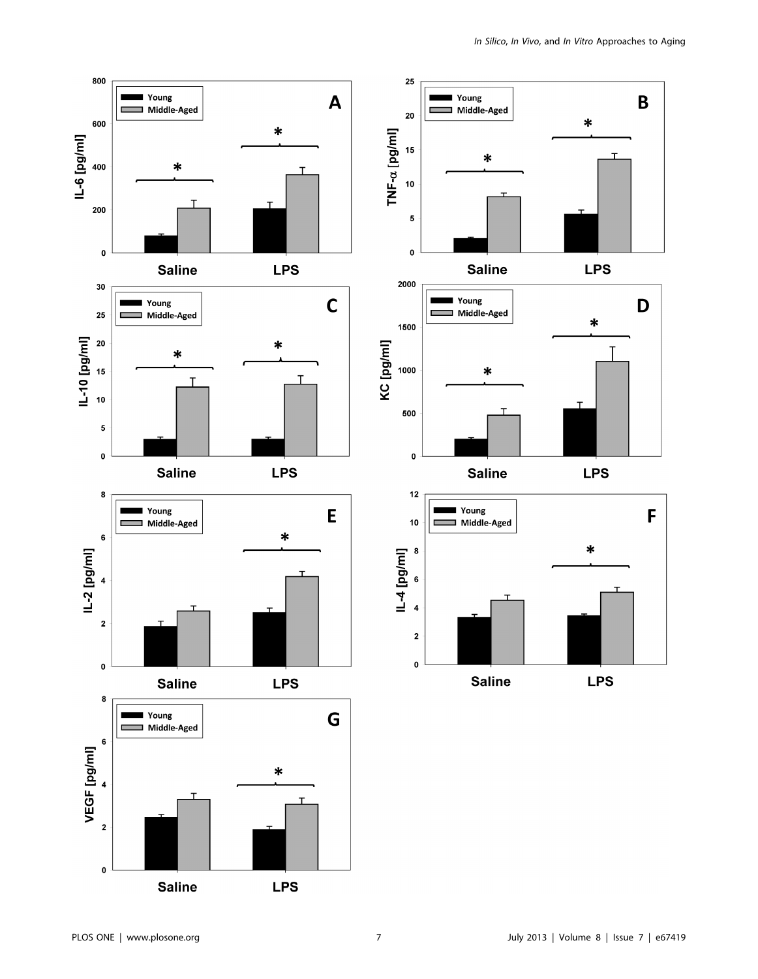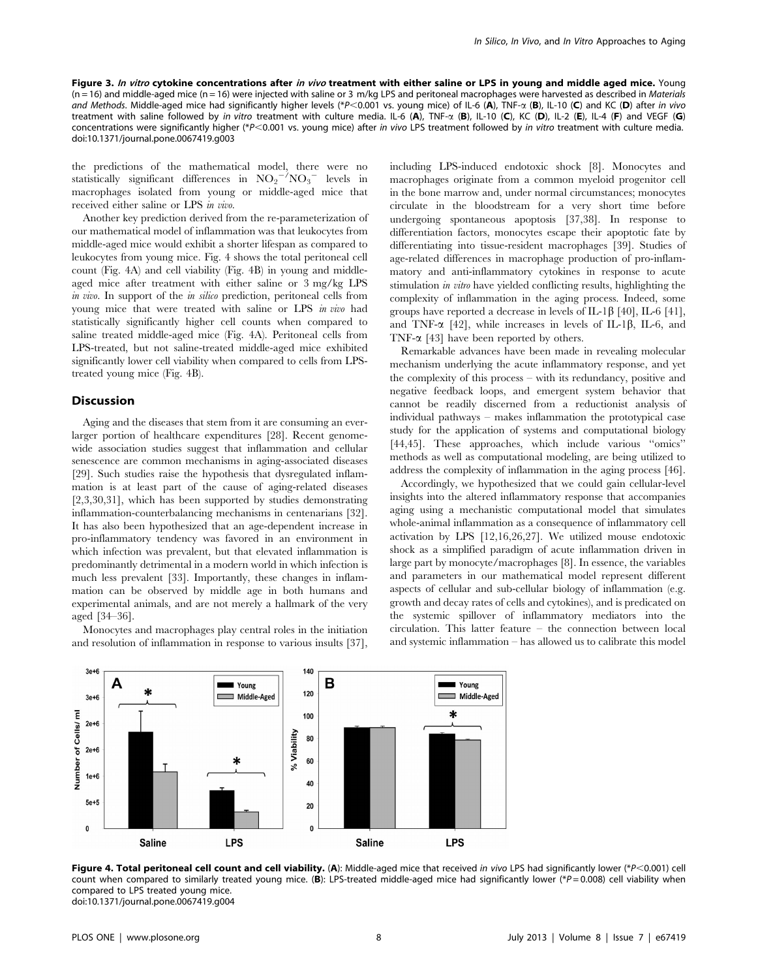Figure 3. In vitro cytokine concentrations after in vivo treatment with either saline or LPS in young and middle aged mice. Young  $(n = 16)$  and middle-aged mice  $(n = 16)$  were injected with saline or 3 m/kg LPS and peritoneal macrophages were harvested as described in Materials and Methods. Middle-aged mice had significantly higher levels (\*P<0.001 vs. young mice) of IL-6 (A), TNF- $\alpha$  (B), IL-10 (C) and KC (D) after in vivo treatment with saline followed by in vitro treatment with culture media. IL-6 (A), TNF- $\alpha$  (B), IL-10 (C), KC (D), IL-2 (E), IL-4 (F) and VEGF (G) concentrations were significantly higher (\*P<0.001 vs. young mice) after in vivo LPS treatment followed by in vitro treatment with culture media. doi:10.1371/journal.pone.0067419.g003

the predictions of the mathematical model, there were no statistically significant differences in  $NO_2^{-7}NO_3$ levels in macrophages isolated from young or middle-aged mice that received either saline or LPS in vivo.

Another key prediction derived from the re-parameterization of our mathematical model of inflammation was that leukocytes from middle-aged mice would exhibit a shorter lifespan as compared to leukocytes from young mice. Fig. 4 shows the total peritoneal cell count (Fig. 4A) and cell viability (Fig. 4B) in young and middleaged mice after treatment with either saline or 3 mg/kg LPS in vivo. In support of the in silico prediction, peritoneal cells from young mice that were treated with saline or LPS in vivo had statistically significantly higher cell counts when compared to saline treated middle-aged mice (Fig. 4A). Peritoneal cells from LPS-treated, but not saline-treated middle-aged mice exhibited significantly lower cell viability when compared to cells from LPStreated young mice (Fig. 4B).

#### **Discussion**

Aging and the diseases that stem from it are consuming an everlarger portion of healthcare expenditures [28]. Recent genomewide association studies suggest that inflammation and cellular senescence are common mechanisms in aging-associated diseases [29]. Such studies raise the hypothesis that dysregulated inflammation is at least part of the cause of aging-related diseases [2,3,30,31], which has been supported by studies demonstrating inflammation-counterbalancing mechanisms in centenarians [32]. It has also been hypothesized that an age-dependent increase in pro-inflammatory tendency was favored in an environment in which infection was prevalent, but that elevated inflammation is predominantly detrimental in a modern world in which infection is much less prevalent [33]. Importantly, these changes in inflammation can be observed by middle age in both humans and experimental animals, and are not merely a hallmark of the very aged [34–36].

Monocytes and macrophages play central roles in the initiation and resolution of inflammation in response to various insults [37],

including LPS-induced endotoxic shock [8]. Monocytes and macrophages originate from a common myeloid progenitor cell in the bone marrow and, under normal circumstances; monocytes circulate in the bloodstream for a very short time before undergoing spontaneous apoptosis [37,38]. In response to differentiation factors, monocytes escape their apoptotic fate by differentiating into tissue-resident macrophages [39]. Studies of age-related differences in macrophage production of pro-inflammatory and anti-inflammatory cytokines in response to acute stimulation in vitro have yielded conflicting results, highlighting the complexity of inflammation in the aging process. Indeed, some groups have reported a decrease in levels of IL-1 $\beta$  [40], IL-6 [41], and TNF- $\alpha$  [42], while increases in levels of IL-1 $\beta$ , IL-6, and TNF-a [43] have been reported by others.

Remarkable advances have been made in revealing molecular mechanism underlying the acute inflammatory response, and yet the complexity of this process – with its redundancy, positive and negative feedback loops, and emergent system behavior that cannot be readily discerned from a reductionist analysis of individual pathways – makes inflammation the prototypical case study for the application of systems and computational biology [44,45]. These approaches, which include various "omics" methods as well as computational modeling, are being utilized to address the complexity of inflammation in the aging process [46].

Accordingly, we hypothesized that we could gain cellular-level insights into the altered inflammatory response that accompanies aging using a mechanistic computational model that simulates whole-animal inflammation as a consequence of inflammatory cell activation by LPS [12,16,26,27]. We utilized mouse endotoxic shock as a simplified paradigm of acute inflammation driven in large part by monocyte/macrophages [8]. In essence, the variables and parameters in our mathematical model represent different aspects of cellular and sub-cellular biology of inflammation (e.g. growth and decay rates of cells and cytokines), and is predicated on the systemic spillover of inflammatory mediators into the circulation. This latter feature – the connection between local and systemic inflammation – has allowed us to calibrate this model



Figure 4. Total peritoneal cell count and cell viability. (A): Middle-aged mice that received in vivo LPS had significantly lower (\*P<0.001) cell count when compared to similarly treated young mice. (B): LPS-treated middle-aged mice had significantly lower (\*P = 0.008) cell viability when compared to LPS treated young mice. doi:10.1371/journal.pone.0067419.g004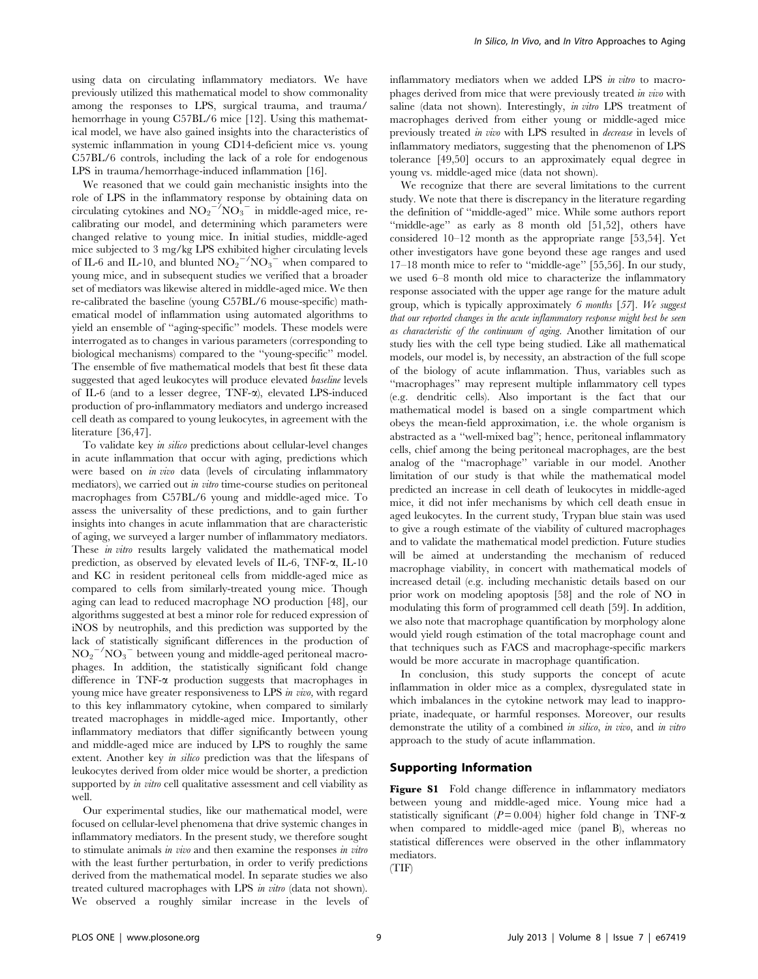using data on circulating inflammatory mediators. We have previously utilized this mathematical model to show commonality among the responses to LPS, surgical trauma, and trauma/ hemorrhage in young C57BL/6 mice [12]. Using this mathematical model, we have also gained insights into the characteristics of systemic inflammation in young CD14-deficient mice vs. young C57BL/6 controls, including the lack of a role for endogenous LPS in trauma/hemorrhage-induced inflammation [16].

We reasoned that we could gain mechanistic insights into the role of LPS in the inflammatory response by obtaining data on circulating cytokines and  $NO_2^{-7}NO_3^{-1}$  in middle-aged mice, recalibrating our model, and determining which parameters were changed relative to young mice. In initial studies, middle-aged mice subjected to 3 mg/kg LPS exhibited higher circulating levels of IL-6 and IL-10, and blunted  $NO_2^{\text{--}}/NO_3^{\text{--}}$  when compared to young mice, and in subsequent studies we verified that a broader set of mediators was likewise altered in middle-aged mice. We then re-calibrated the baseline (young C57BL/6 mouse-specific) mathematical model of inflammation using automated algorithms to yield an ensemble of ''aging-specific'' models. These models were interrogated as to changes in various parameters (corresponding to biological mechanisms) compared to the ''young-specific'' model. The ensemble of five mathematical models that best fit these data suggested that aged leukocytes will produce elevated baseline levels of IL-6 (and to a lesser degree, TNF-a), elevated LPS-induced production of pro-inflammatory mediators and undergo increased cell death as compared to young leukocytes, in agreement with the literature [36,47].

To validate key in silico predictions about cellular-level changes in acute inflammation that occur with aging, predictions which were based on *in vivo* data (levels of circulating inflammatory mediators), we carried out *in vitro* time-course studies on peritoneal macrophages from C57BL/6 young and middle-aged mice. To assess the universality of these predictions, and to gain further insights into changes in acute inflammation that are characteristic of aging, we surveyed a larger number of inflammatory mediators. These *in vitro* results largely validated the mathematical model prediction, as observed by elevated levels of IL-6, TNF- $\alpha$ , IL-10 and KC in resident peritoneal cells from middle-aged mice as compared to cells from similarly-treated young mice. Though aging can lead to reduced macrophage NO production [48], our algorithms suggested at best a minor role for reduced expression of iNOS by neutrophils, and this prediction was supported by the lack of statistically significant differences in the production of  $NO_2$ <sup>-/</sup> $NO_3$ <sup>-</sup> between young and middle-aged peritoneal macrophages. In addition, the statistically significant fold change difference in TNF- $\alpha$  production suggests that macrophages in young mice have greater responsiveness to LPS in vivo, with regard to this key inflammatory cytokine, when compared to similarly treated macrophages in middle-aged mice. Importantly, other inflammatory mediators that differ significantly between young and middle-aged mice are induced by LPS to roughly the same extent. Another key in silico prediction was that the lifespans of leukocytes derived from older mice would be shorter, a prediction supported by *in vitro* cell qualitative assessment and cell viability as well.

Our experimental studies, like our mathematical model, were focused on cellular-level phenomena that drive systemic changes in inflammatory mediators. In the present study, we therefore sought to stimulate animals in vivo and then examine the responses in vitro with the least further perturbation, in order to verify predictions derived from the mathematical model. In separate studies we also treated cultured macrophages with LPS in vitro (data not shown). We observed a roughly similar increase in the levels of inflammatory mediators when we added LPS in vitro to macrophages derived from mice that were previously treated in vivo with saline (data not shown). Interestingly, in vitro LPS treatment of macrophages derived from either young or middle-aged mice previously treated in vivo with LPS resulted in decrease in levels of inflammatory mediators, suggesting that the phenomenon of LPS tolerance [49,50] occurs to an approximately equal degree in young vs. middle-aged mice (data not shown).

We recognize that there are several limitations to the current study. We note that there is discrepancy in the literature regarding the definition of ''middle-aged'' mice. While some authors report "middle-age" as early as 8 month old [51,52], others have considered 10–12 month as the appropriate range [53,54]. Yet other investigators have gone beyond these age ranges and used 17–18 month mice to refer to ''middle-age'' [55,56]. In our study, we used 6–8 month old mice to characterize the inflammatory response associated with the upper age range for the mature adult group, which is typically approximately  $6$  months [57]. We suggest that our reported changes in the acute inflammatory response might best be seen as characteristic of the continuum of aging. Another limitation of our study lies with the cell type being studied. Like all mathematical models, our model is, by necessity, an abstraction of the full scope of the biology of acute inflammation. Thus, variables such as ''macrophages'' may represent multiple inflammatory cell types (e.g. dendritic cells). Also important is the fact that our mathematical model is based on a single compartment which obeys the mean-field approximation, i.e. the whole organism is abstracted as a ''well-mixed bag''; hence, peritoneal inflammatory cells, chief among the being peritoneal macrophages, are the best analog of the ''macrophage'' variable in our model. Another limitation of our study is that while the mathematical model predicted an increase in cell death of leukocytes in middle-aged mice, it did not infer mechanisms by which cell death ensue in aged leukocytes. In the current study, Trypan blue stain was used to give a rough estimate of the viability of cultured macrophages and to validate the mathematical model prediction. Future studies will be aimed at understanding the mechanism of reduced macrophage viability, in concert with mathematical models of increased detail (e.g. including mechanistic details based on our prior work on modeling apoptosis [58] and the role of NO in modulating this form of programmed cell death [59]. In addition, we also note that macrophage quantification by morphology alone would yield rough estimation of the total macrophage count and that techniques such as FACS and macrophage-specific markers would be more accurate in macrophage quantification.

In conclusion, this study supports the concept of acute inflammation in older mice as a complex, dysregulated state in which imbalances in the cytokine network may lead to inappropriate, inadequate, or harmful responses. Moreover, our results demonstrate the utility of a combined in silico, in vivo, and in vitro approach to the study of acute inflammation.

#### Supporting Information

Figure S1 Fold change difference in inflammatory mediators between young and middle-aged mice. Young mice had a statistically significant ( $P = 0.004$ ) higher fold change in TNF- $\alpha$ when compared to middle-aged mice (panel B), whereas no statistical differences were observed in the other inflammatory mediators.

(TIF)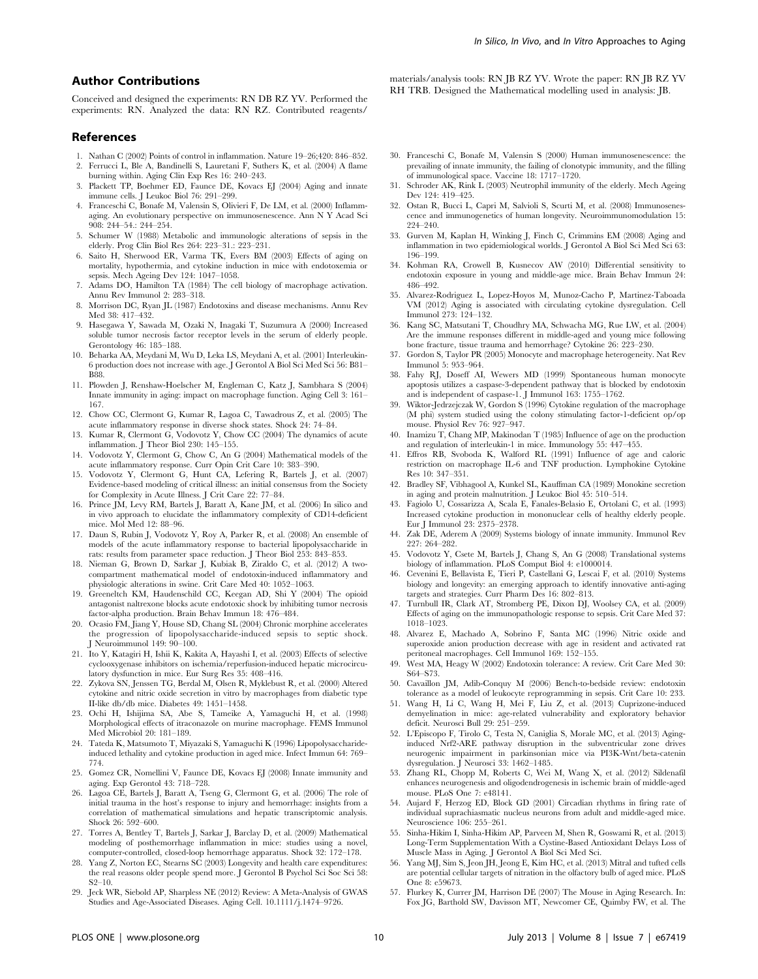#### Author Contributions

Conceived and designed the experiments: RN DB RZ YV. Performed the experiments: RN. Analyzed the data: RN RZ. Contributed reagents/

#### References

- 1. Nathan C (2002) Points of control in inflammation. Nature 19–26;420: 846–852.
- 2. Ferrucci L, Ble A, Bandinelli S, Lauretani F, Suthers K, et al. (2004) A flame burning within. Aging Clin Exp Res 16: 240–243.
- 3. Plackett TP, Boehmer ED, Faunce DE, Kovacs EJ (2004) Aging and innate immune cells. J Leukoc Biol 76: 291–299.
- 4. Franceschi C, Bonafe M, Valensin S, Olivieri F, De LM, et al. (2000) Inflammaging. An evolutionary perspective on immunosenescence. Ann N Y Acad Sci 908: 244–54.: 244–254.
- 5. Schumer W (1988) Metabolic and immunologic alterations of sepsis in the elderly. Prog Clin Biol Res 264: 223–31.: 223–231.
- 6. Saito H, Sherwood ER, Varma TK, Evers BM (2003) Effects of aging on mortality, hypothermia, and cytokine induction in mice with endotoxemia or sepsis. Mech Ageing Dev 124: 1047–1058.
- 7. Adams DO, Hamilton TA (1984) The cell biology of macrophage activation. Annu Rev Immunol 2: 283–318.
- 8. Morrison DC, Ryan JL (1987) Endotoxins and disease mechanisms. Annu Rev Med 38: 417–432.
- 9. Hasegawa Y, Sawada M, Ozaki N, Inagaki T, Suzumura A (2000) Increased soluble tumor necrosis factor receptor levels in the serum of elderly people. Gerontology 46: 185–188.
- 10. Beharka AA, Meydani M, Wu D, Leka LS, Meydani A, et al. (2001) Interleukin-6 production does not increase with age. J Gerontol A Biol Sci Med Sci 56: B81– B88.
- 11. Plowden J, Renshaw-Hoelscher M, Engleman C, Katz J, Sambhara S (2004) Innate immunity in aging: impact on macrophage function. Aging Cell 3: 161– 167.
- 12. Chow CC, Clermont G, Kumar R, Lagoa C, Tawadrous Z, et al. (2005) The acute inflammatory response in diverse shock states. Shock 24: 74–84.
- 13. Kumar R, Clermont G, Vodovotz Y, Chow CC (2004) The dynamics of acute inflammation. J Theor Biol 230: 145–155.
- 14. Vodovotz Y, Clermont G, Chow C, An G (2004) Mathematical models of the acute inflammatory response. Curr Opin Crit Care 10: 383–390.
- 15. Vodovotz Y, Clermont G, Hunt CA, Lefering R, Bartels J, et al. (2007) Evidence-based modeling of critical illness: an initial consensus from the Society for Complexity in Acute Illness. J Crit Care 22: 77–84.
- 16. Prince JM, Levy RM, Bartels J, Baratt A, Kane JM, et al. (2006) In silico and in vivo approach to elucidate the inflammatory complexity of CD14-deficient mice. Mol Med 12: 88–96.
- 17. Daun S, Rubin J, Vodovotz Y, Roy A, Parker R, et al. (2008) An ensemble of models of the acute inflammatory response to bacterial lipopolysaccharide in rats: results from parameter space reduction. J Theor Biol 253: 843–853.
- 18. Nieman G, Brown D, Sarkar J, Kubiak B, Ziraldo C, et al. (2012) A twocompartment mathematical model of endotoxin-induced inflammatory and physiologic alterations in swine. Crit Care Med 40: 1052–1063.
- 19. Greeneltch KM, Haudenschild CC, Keegan AD, Shi Y (2004) The opioid antagonist naltrexone blocks acute endotoxic shock by inhibiting tumor necrosis factor-alpha production. Brain Behav Immun 18: 476–484.
- 20. Ocasio FM, Jiang Y, House SD, Chang SL (2004) Chronic morphine accelerates the progression of lipopolysaccharide-induced sepsis to septic shock. J Neuroimmunol 149: 90–100.
- 21. Ito Y, Katagiri H, Ishii K, Kakita A, Hayashi I, et al. (2003) Effects of selective cyclooxygenase inhibitors on ischemia/reperfusion-induced hepatic microcirculatory dysfunction in mice. Eur Surg Res 35: 408–416.
- 22. Zykova SN, Jenssen TG, Berdal M, Olsen R, Myklebust R, et al. (2000) Altered cytokine and nitric oxide secretion in vitro by macrophages from diabetic type II-like db/db mice. Diabetes 49: 1451–1458.
- 23. Ochi H, Ishijima SA, Abe S, Tameike A, Yamaguchi H, et al. (1998) Morphological effects of itraconazole on murine macrophage. FEMS Immunol Med Microbiol 20: 181–189.
- 24. Tateda K, Matsumoto T, Miyazaki S, Yamaguchi K (1996) Lipopolysaccharideinduced lethality and cytokine production in aged mice. Infect Immun 64: 769– 774.
- 25. Gomez CR, Nomellini V, Faunce DE, Kovacs EJ (2008) Innate immunity and aging. Exp Gerontol 43: 718–728.
- 26. Lagoa CE, Bartels J, Baratt A, Tseng G, Clermont G, et al. (2006) The role of initial trauma in the host's response to injury and hemorrhage: insights from a correlation of mathematical simulations and hepatic transcriptomic analysis. Shock 26: 592–600.
- 27. Torres A, Bentley T, Bartels J, Sarkar J, Barclay D, et al. (2009) Mathematical modeling of posthemorrhage inflammation in mice: studies using a novel, computer-controlled, closed-loop hemorrhage apparatus. Shock 32: 172–178.
- 28. Yang Z, Norton EC, Stearns SC (2003) Longevity and health care expenditures: the real reasons older people spend more. J Gerontol B Psychol Sci Soc Sci 58: S2–10.
- 29. Jeck WR, Siebold AP, Sharpless NE (2012) Review: A Meta-Analysis of GWAS Studies and Age-Associated Diseases. Aging Cell. 10.1111/j.1474–9726.

materials/analysis tools: RN JB RZ YV. Wrote the paper: RN JB RZ YV RH TRB. Designed the Mathematical modelling used in analysis: JB.

- 30. Franceschi C, Bonafe M, Valensin S (2000) Human immunosenescence: the prevailing of innate immunity, the failing of clonotypic immunity, and the filling of immunological space. Vaccine 18: 1717–1720.
- 31. Schroder AK, Rink L (2003) Neutrophil immunity of the elderly. Mech Ageing Dev 124: 419–425.
- 32. Ostan R, Bucci L, Capri M, Salvioli S, Scurti M, et al. (2008) Immunosenescence and immunogenetics of human longevity. Neuroimmunomodulation 15: 224–240.
- 33. Gurven M, Kaplan H, Winking J, Finch C, Crimmins EM (2008) Aging and inflammation in two epidemiological worlds. J Gerontol A Biol Sci Med Sci 63: 196–199.
- 34. Kohman RA, Crowell B, Kusnecov AW (2010) Differential sensitivity to endotoxin exposure in young and middle-age mice. Brain Behav Immun 24: 486–492.
- 35. Alvarez-Rodriguez L, Lopez-Hoyos M, Munoz-Cacho P, Martinez-Taboada VM (2012) Aging is associated with circulating cytokine dysregulation. Cell Immunol 273: 124–132.
- 36. Kang SC, Matsutani T, Choudhry MA, Schwacha MG, Rue LW, et al. (2004) Are the immune responses different in middle-aged and young mice following bone fracture, tissue trauma and hemorrhage? Cytokine 26: 223–230.
- 37. Gordon S, Taylor PR (2005) Monocyte and macrophage heterogeneity. Nat Rev Immunol 5: 953–964.
- 38. Fahy RJ, Doseff AI, Wewers MD (1999) Spontaneous human monocyte apoptosis utilizes a caspase-3-dependent pathway that is blocked by endotoxin and is independent of caspase-1. J Immunol 163: 1755–1762.
- 39. Wiktor-Jedrzejczak W, Gordon S (1996) Cytokine regulation of the macrophage (M phi) system studied using the colony stimulating factor-1-deficient op/op mouse. Physiol Rev 76: 927–947.
- 40. Inamizu T, Chang MP, Makinodan T (1985) Influence of age on the production and regulation of interleukin-1 in mice. Immunology 55: 447–455.
- 41. Effros RB, Svoboda K, Walford RL (1991) Influence of age and caloric restriction on macrophage IL-6 and TNF production. Lymphokine Cytokine Res 10: 347–351.
- 42. Bradley SF, Vibhagool A, Kunkel SL, Kauffman CA (1989) Monokine secretion in aging and protein malnutrition. J Leukoc Biol 45: 510–514.
- 43. Fagiolo U, Cossarizza A, Scala E, Fanales-Belasio E, Ortolani C, et al. (1993) Increased cytokine production in mononuclear cells of healthy elderly people. Eur J Immunol 23: 2375–2378.
- 44. Zak DE, Aderem A (2009) Systems biology of innate immunity. Immunol Rev 227: 264–282.
- 45. Vodovotz Y, Csete M, Bartels J, Chang S, An G (2008) Translational systems biology of inflammation. PLoS Comput Biol 4: e1000014.
- 46. Cevenini E, Bellavista E, Tieri P, Castellani G, Lescai F, et al. (2010) Systems biology and longevity: an emerging approach to identify innovative anti-aging targets and strategies. Curr Pharm Des 16: 802–813.
- 47. Turnbull IR, Clark AT, Stromberg PE, Dixon DJ, Woolsey CA, et al. (2009) Effects of aging on the immunopathologic response to sepsis. Crit Care Med 37: 1018–1023.
- 48. Alvarez E, Machado A, Sobrino F, Santa MC (1996) Nitric oxide and superoxide anion production decrease with age in resident and activated rat peritoneal macrophages. Cell Immunol 169: 152–155.
- 49. West MA, Heagy W (2002) Endotoxin tolerance: A review. Crit Care Med 30: S64–S73.
- 50. Cavaillon JM, Adib-Conquy M (2006) Bench-to-bedside review: endotoxin tolerance as a model of leukocyte reprogramming in sepsis. Crit Care 10: 233.
- 51. Wang H, Li C, Wang H, Mei F, Liu Z, et al. (2013) Cuprizone-induced demyelination in mice: age-related vulnerability and exploratory behavior deficit. Neurosci Bull 29: 251–259.
- 52. L'Episcopo F, Tirolo C, Testa N, Caniglia S, Morale MC, et al. (2013) Aginginduced Nrf2-ARE pathway disruption in the subventricular zone drives neurogenic impairment in parkinsonian mice via PI3K-Wnt/beta-catenin dysregulation. J Neurosci 33: 1462–1485.
- 53. Zhang RL, Chopp M, Roberts C, Wei M, Wang X, et al. (2012) Sildenafil enhances neurogenesis and oligodendrogenesis in ischemic brain of middle-aged mouse. PLoS One 7: e48141.
- 54. Aujard F, Herzog ED, Block GD (2001) Circadian rhythms in firing rate of individual suprachiasmatic nucleus neurons from adult and middle-aged mice. Neuroscience 106: 255–261.
- 55. Sinha-Hikim I, Sinha-Hikim AP, Parveen M, Shen R, Goswami R, et al. (2013) Long-Term Supplementation With a Cystine-Based Antioxidant Delays Loss of Muscle Mass in Aging. J Gerontol A Biol Sci Med Sci.
- 56. Yang MJ, Sim S, Jeon JH, Jeong E, Kim HC, et al. (2013) Mitral and tufted cells are potential cellular targets of nitration in the olfactory bulb of aged mice. PLoS One 8: e59673.
- 57. Flurkey K, Currer JM, Harrison DE (2007) The Mouse in Aging Research. In: Fox JG, Barthold SW, Davisson MT, Newcomer CE, Quimby FW, et al. The